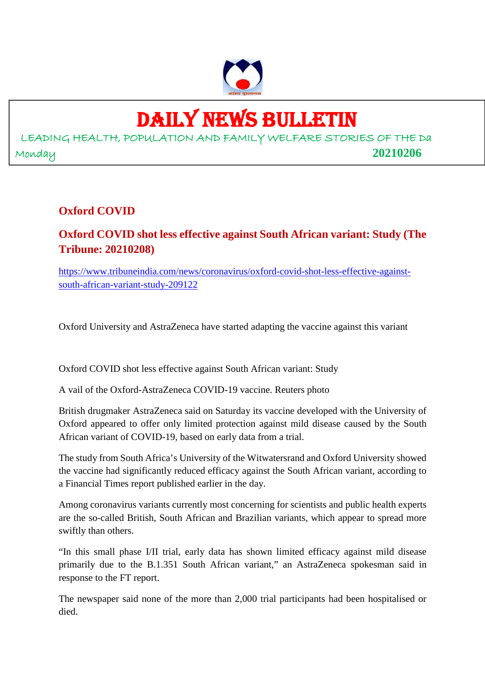

# DAILY NEWS BULLETIN

# LEADING HEALTH, POPULATION AND FAMILY WELFARE STORIES OF THE Da Monday **20210206**

### **Oxford COVID**

# **Oxford COVID shot less effective against South African variant: Study (The Tribune: 20210208)**

https://www.tribuneindia.com/news/coronavirus/oxford-covid-shot-less-effective-againstsouth-african-variant-study-209122

Oxford University and AstraZeneca have started adapting the vaccine against this variant

Oxford COVID shot less effective against South African variant: Study

A vail of the Oxford-AstraZeneca COVID-19 vaccine. Reuters photo

British drugmaker AstraZeneca said on Saturday its vaccine developed with the University of Oxford appeared to offer only limited protection against mild disease caused by the South African variant of COVID-19, based on early data from a trial.

The study from South Africa's University of the Witwatersrand and Oxford University showed the vaccine had significantly reduced efficacy against the South African variant, according to a Financial Times report published earlier in the day.

Among coronavirus variants currently most concerning for scientists and public health experts are the so-called British, South African and Brazilian variants, which appear to spread more swiftly than others.

"In this small phase I/II trial, early data has shown limited efficacy against mild disease primarily due to the B.1.351 South African variant," an AstraZeneca spokesman said in response to the FT report.

The newspaper said none of the more than 2,000 trial participants had been hospitalised or died.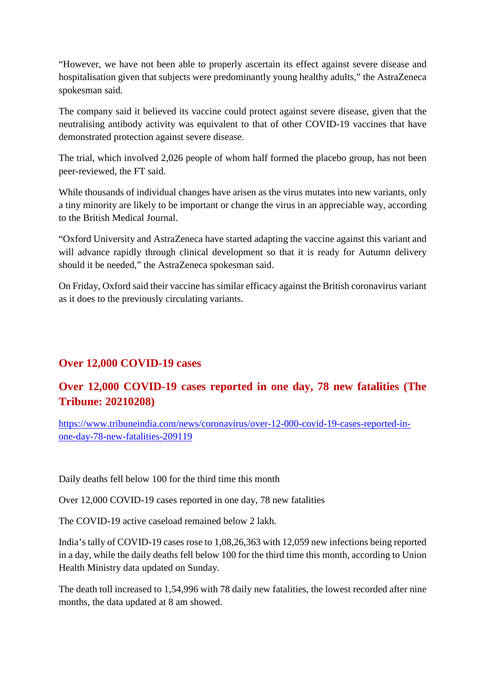"However, we have not been able to properly ascertain its effect against severe disease and hospitalisation given that subjects were predominantly young healthy adults," the AstraZeneca spokesman said.

The company said it believed its vaccine could protect against severe disease, given that the neutralising antibody activity was equivalent to that of other COVID-19 vaccines that have demonstrated protection against severe disease.

The trial, which involved 2,026 people of whom half formed the placebo group, has not been peer-reviewed, the FT said.

While thousands of individual changes have arisen as the virus mutates into new variants, only a tiny minority are likely to be important or change the virus in an appreciable way, according to the British Medical Journal.

"Oxford University and AstraZeneca have started adapting the vaccine against this variant and will advance rapidly through clinical development so that it is ready for Autumn delivery should it be needed," the AstraZeneca spokesman said.

On Friday, Oxford said their vaccine has similar efficacy against the British coronavirus variant as it does to the previously circulating variants.

## **Over 12,000 COVID-19 cases**

# **Over 12,000 COVID-19 cases reported in one day, 78 new fatalities (The Tribune: 20210208)**

https://www.tribuneindia.com/news/coronavirus/over-12-000-covid-19-cases-reported-inone-day-78-new-fatalities-209119

Daily deaths fell below 100 for the third time this month

Over 12,000 COVID-19 cases reported in one day, 78 new fatalities

The COVID-19 active caseload remained below 2 lakh.

India's tally of COVID-19 cases rose to 1,08,26,363 with 12,059 new infections being reported in a day, while the daily deaths fell below 100 for the third time this month, according to Union Health Ministry data updated on Sunday.

The death toll increased to 1,54,996 with 78 daily new fatalities, the lowest recorded after nine months, the data updated at 8 am showed.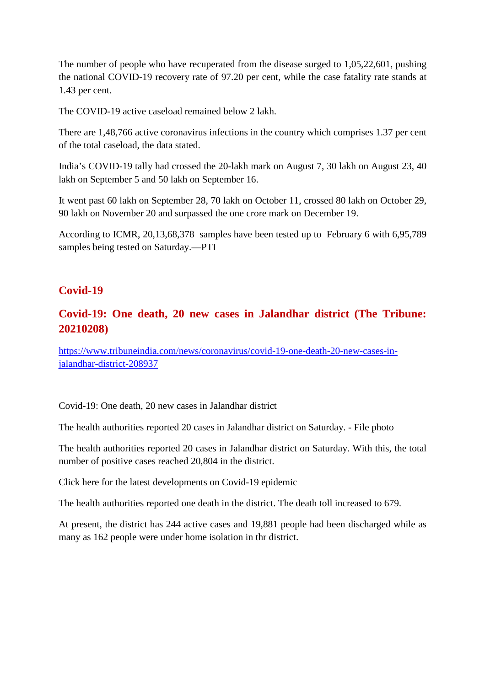The number of people who have recuperated from the disease surged to 1,05,22,601, pushing the national COVID-19 recovery rate of 97.20 per cent, while the case fatality rate stands at 1.43 per cent.

The COVID-19 active caseload remained below 2 lakh.

There are 1,48,766 active coronavirus infections in the country which comprises 1.37 per cent of the total caseload, the data stated.

India's COVID-19 tally had crossed the 20-lakh mark on August 7, 30 lakh on August 23, 40 lakh on September 5 and 50 lakh on September 16.

It went past 60 lakh on September 28, 70 lakh on October 11, crossed 80 lakh on October 29, 90 lakh on November 20 and surpassed the one crore mark on December 19.

According to ICMR, 20,13,68,378 samples have been tested up to February 6 with 6,95,789 samples being tested on Saturday.—PTI

#### **Covid-19**

## **Covid-19: One death, 20 new cases in Jalandhar district (The Tribune: 20210208)**

https://www.tribuneindia.com/news/coronavirus/covid-19-one-death-20-new-cases-injalandhar-district-208937

Covid-19: One death, 20 new cases in Jalandhar district

The health authorities reported 20 cases in Jalandhar district on Saturday. - File photo

The health authorities reported 20 cases in Jalandhar district on Saturday. With this, the total number of positive cases reached 20,804 in the district.

Click here for the latest developments on Covid-19 epidemic

The health authorities reported one death in the district. The death toll increased to 679.

At present, the district has 244 active cases and 19,881 people had been discharged while as many as 162 people were under home isolation in thr district.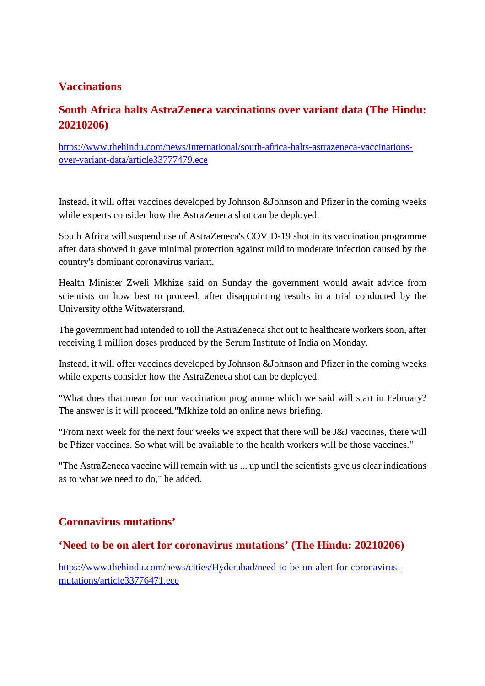## **Vaccinations**

## **South Africa halts AstraZeneca vaccinations over variant data (The Hindu: 20210206)**

https://www.thehindu.com/news/international/south-africa-halts-astrazeneca-vaccinationsover-variant-data/article33777479.ece

Instead, it will offer vaccines developed by Johnson &Johnson and Pfizer in the coming weeks while experts consider how the AstraZeneca shot can be deployed.

South Africa will suspend use of AstraZeneca's COVID-19 shot in its vaccination programme after data showed it gave minimal protection against mild to moderate infection caused by the country's dominant coronavirus variant.

Health Minister Zweli Mkhize said on Sunday the government would await advice from scientists on how best to proceed, after disappointing results in a trial conducted by the University ofthe Witwatersrand.

The government had intended to roll the AstraZeneca shot out to healthcare workers soon, after receiving 1 million doses produced by the Serum Institute of India on Monday.

Instead, it will offer vaccines developed by Johnson &Johnson and Pfizer in the coming weeks while experts consider how the AstraZeneca shot can be deployed.

"What does that mean for our vaccination programme which we said will start in February? The answer is it will proceed,"Mkhize told an online news briefing.

"From next week for the next four weeks we expect that there will be J&J vaccines, there will be Pfizer vaccines. So what will be available to the health workers will be those vaccines."

"The AstraZeneca vaccine will remain with us ... up until the scientists give us clear indications as to what we need to do," he added.

## **Coronavirus mutations'**

#### **'Need to be on alert for coronavirus mutations' (The Hindu: 20210206)**

https://www.thehindu.com/news/cities/Hyderabad/need-to-be-on-alert-for-coronavirusmutations/article33776471.ece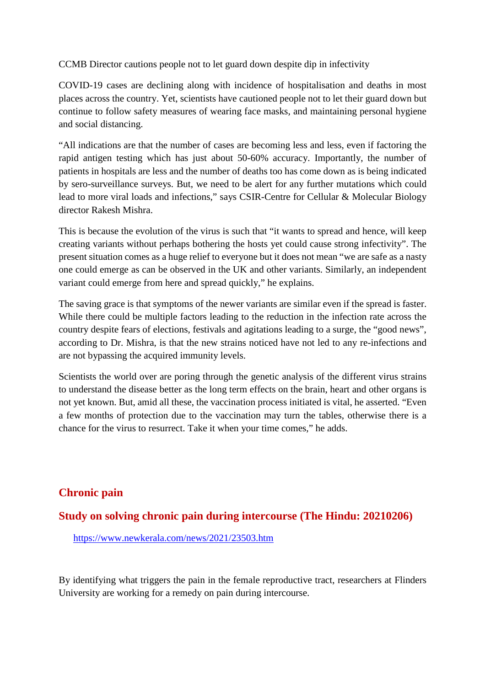CCMB Director cautions people not to let guard down despite dip in infectivity

COVID-19 cases are declining along with incidence of hospitalisation and deaths in most places across the country. Yet, scientists have cautioned people not to let their guard down but continue to follow safety measures of wearing face masks, and maintaining personal hygiene and social distancing.

"All indications are that the number of cases are becoming less and less, even if factoring the rapid antigen testing which has just about 50-60% accuracy. Importantly, the number of patients in hospitals are less and the number of deaths too has come down as is being indicated by sero-surveillance surveys. But, we need to be alert for any further mutations which could lead to more viral loads and infections," says CSIR-Centre for Cellular & Molecular Biology director Rakesh Mishra.

This is because the evolution of the virus is such that "it wants to spread and hence, will keep creating variants without perhaps bothering the hosts yet could cause strong infectivity". The present situation comes as a huge relief to everyone but it does not mean "we are safe as a nasty one could emerge as can be observed in the UK and other variants. Similarly, an independent variant could emerge from here and spread quickly," he explains.

The saving grace is that symptoms of the newer variants are similar even if the spread is faster. While there could be multiple factors leading to the reduction in the infection rate across the country despite fears of elections, festivals and agitations leading to a surge, the "good news", according to Dr. Mishra, is that the new strains noticed have not led to any re-infections and are not bypassing the acquired immunity levels.

Scientists the world over are poring through the genetic analysis of the different virus strains to understand the disease better as the long term effects on the brain, heart and other organs is not yet known. But, amid all these, the vaccination process initiated is vital, he asserted. "Even a few months of protection due to the vaccination may turn the tables, otherwise there is a chance for the virus to resurrect. Take it when your time comes," he adds.

#### **Chronic pain**

#### **Study on solving chronic pain during intercourse (The Hindu: 20210206)**

https://www.newkerala.com/news/2021/23503.htm

By identifying what triggers the pain in the female reproductive tract, researchers at Flinders University are working for a remedy on pain during intercourse.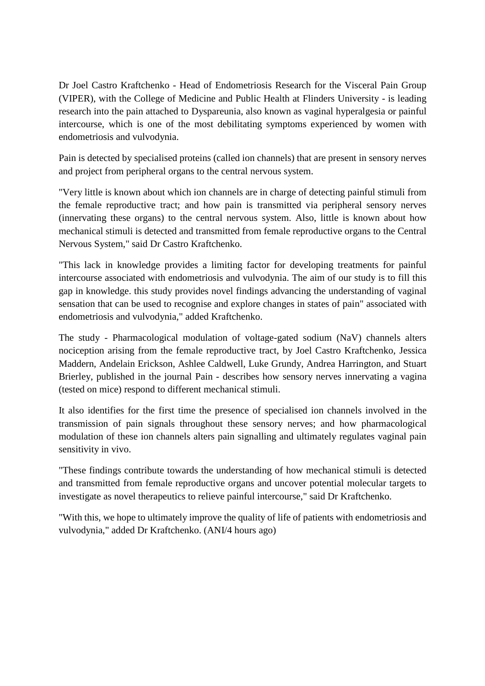Dr Joel Castro Kraftchenko - Head of Endometriosis Research for the Visceral Pain Group (VIPER), with the College of Medicine and Public Health at Flinders University - is leading research into the pain attached to Dyspareunia, also known as vaginal hyperalgesia or painful intercourse, which is one of the most debilitating symptoms experienced by women with endometriosis and vulvodynia.

Pain is detected by specialised proteins (called ion channels) that are present in sensory nerves and project from peripheral organs to the central nervous system.

"Very little is known about which ion channels are in charge of detecting painful stimuli from the female reproductive tract; and how pain is transmitted via peripheral sensory nerves (innervating these organs) to the central nervous system. Also, little is known about how mechanical stimuli is detected and transmitted from female reproductive organs to the Central Nervous System," said Dr Castro Kraftchenko.

"This lack in knowledge provides a limiting factor for developing treatments for painful intercourse associated with endometriosis and vulvodynia. The aim of our study is to fill this gap in knowledge. this study provides novel findings advancing the understanding of vaginal sensation that can be used to recognise and explore changes in states of pain" associated with endometriosis and vulvodynia," added Kraftchenko.

The study - Pharmacological modulation of voltage-gated sodium (NaV) channels alters nociception arising from the female reproductive tract, by Joel Castro Kraftchenko, Jessica Maddern, Andelain Erickson, Ashlee Caldwell, Luke Grundy, Andrea Harrington, and Stuart Brierley, published in the journal Pain - describes how sensory nerves innervating a vagina (tested on mice) respond to different mechanical stimuli.

It also identifies for the first time the presence of specialised ion channels involved in the transmission of pain signals throughout these sensory nerves; and how pharmacological modulation of these ion channels alters pain signalling and ultimately regulates vaginal pain sensitivity in vivo.

"These findings contribute towards the understanding of how mechanical stimuli is detected and transmitted from female reproductive organs and uncover potential molecular targets to investigate as novel therapeutics to relieve painful intercourse," said Dr Kraftchenko.

"With this, we hope to ultimately improve the quality of life of patients with endometriosis and vulvodynia," added Dr Kraftchenko. (ANI/4 hours ago)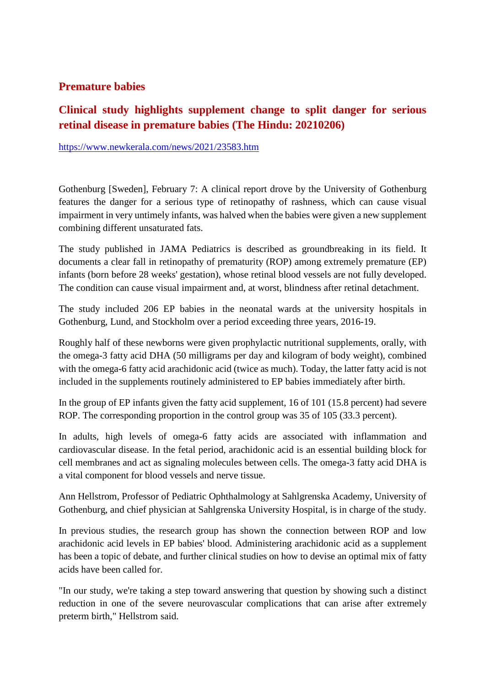#### **Premature babies**

# **Clinical study highlights supplement change to split danger for serious retinal disease in premature babies (The Hindu: 20210206)**

https://www.newkerala.com/news/2021/23583.htm

Gothenburg [Sweden], February 7: A clinical report drove by the University of Gothenburg features the danger for a serious type of retinopathy of rashness, which can cause visual impairment in very untimely infants, was halved when the babies were given a new supplement combining different unsaturated fats.

The study published in JAMA Pediatrics is described as groundbreaking in its field. It documents a clear fall in retinopathy of prematurity (ROP) among extremely premature (EP) infants (born before 28 weeks' gestation), whose retinal blood vessels are not fully developed. The condition can cause visual impairment and, at worst, blindness after retinal detachment.

The study included 206 EP babies in the neonatal wards at the university hospitals in Gothenburg, Lund, and Stockholm over a period exceeding three years, 2016-19.

Roughly half of these newborns were given prophylactic nutritional supplements, orally, with the omega-3 fatty acid DHA (50 milligrams per day and kilogram of body weight), combined with the omega-6 fatty acid arachidonic acid (twice as much). Today, the latter fatty acid is not included in the supplements routinely administered to EP babies immediately after birth.

In the group of EP infants given the fatty acid supplement, 16 of 101 (15.8 percent) had severe ROP. The corresponding proportion in the control group was 35 of 105 (33.3 percent).

In adults, high levels of omega-6 fatty acids are associated with inflammation and cardiovascular disease. In the fetal period, arachidonic acid is an essential building block for cell membranes and act as signaling molecules between cells. The omega-3 fatty acid DHA is a vital component for blood vessels and nerve tissue.

Ann Hellstrom, Professor of Pediatric Ophthalmology at Sahlgrenska Academy, University of Gothenburg, and chief physician at Sahlgrenska University Hospital, is in charge of the study.

In previous studies, the research group has shown the connection between ROP and low arachidonic acid levels in EP babies' blood. Administering arachidonic acid as a supplement has been a topic of debate, and further clinical studies on how to devise an optimal mix of fatty acids have been called for.

"In our study, we're taking a step toward answering that question by showing such a distinct reduction in one of the severe neurovascular complications that can arise after extremely preterm birth," Hellstrom said.